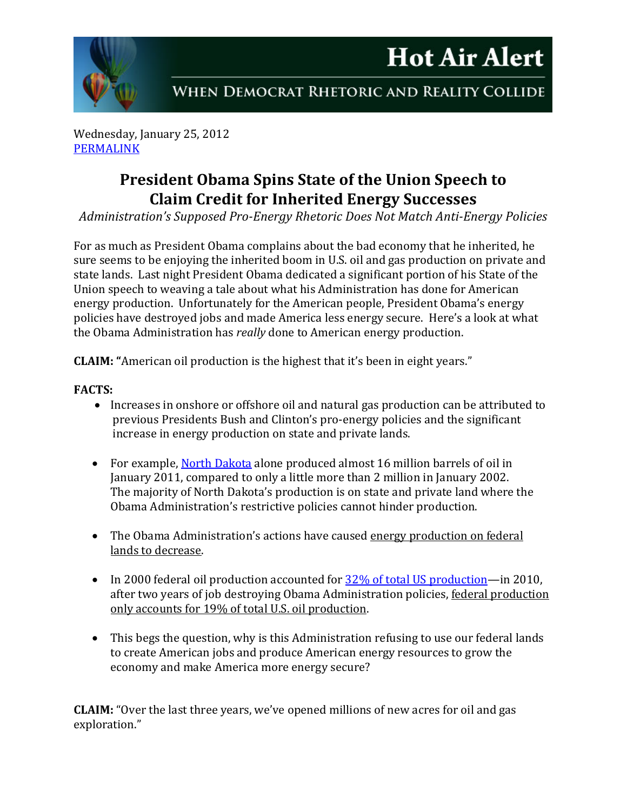# **Hot Air Alert**



WHEN DEMOCRAT RHETORIC AND REALITY COLLIDE

Wednesday, January 25, 2012 [PERMALINK](http://naturalresources.house.gov/News/DocumentSingle.aspx?DocumentID=276415)

## **President Obama Spins State of the Union Speech to Claim Credit for Inherited Energy Successes**

*Administration's Supposed Pro-Energy Rhetoric Does Not Match Anti-Energy Policies*

For as much as President Obama complains about the bad economy that he inherited, he sure seems to be enjoying the inherited boom in U.S. oil and gas production on private and state lands. Last night President Obama dedicated a significant portion of his State of the Union speech to weaving a tale about what his Administration has done for American energy production. Unfortunately for the American people, President Obama's energy policies have destroyed jobs and made America less energy secure. Here's a look at what the Obama Administration has *really* done to American energy production.

**CLAIM: "**American oil production is the highest that it's been in eight years."

### **FACTS:**

- Increases in onshore or offshore oil and natural gas production can be attributed to previous Presidents Bush and Clinton's pro-energy policies and the significant increase in energy production on state and private lands.
- For example, [North Dakota](https://www.dmr.nd.gov/oilgas/stats/stateoilchart.pdf) alone produced almost 16 million barrels of oil in January 2011, compared to only a little more than 2 million in January 2002. The majority of North Dakota's production is on state and private land where the Obama Administration's restrictive policies cannot hinder production.
- The Obama Administration's actions have caused energy production on federal lands to decrease.
- In 2000 federal oil production accounted for  $32\%$  of total US production—in 2010, after two years of job destroying Obama Administration policies, federal production only accounts for 19% of total U.S. oil production.
- This begs the question, why is this Administration refusing to use our federal lands to create American jobs and produce American energy resources to grow the economy and make America more energy secure?

**CLAIM:** "Over the last three years, we've opened millions of new acres for oil and gas exploration."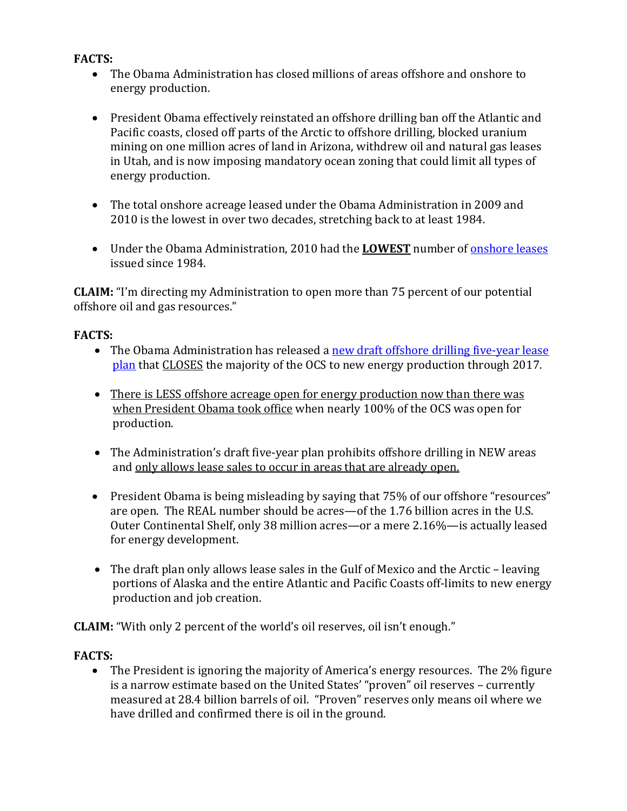#### **FACTS:**

- The Obama Administration has closed millions of areas offshore and onshore to energy production.
- President Obama effectively reinstated an offshore drilling ban off the Atlantic and Pacific coasts, closed off parts of the Arctic to offshore drilling, blocked uranium mining on one million acres of land in Arizona, withdrew oil and natural gas leases in Utah, and is now imposing mandatory ocean zoning that could limit all types of energy production.
- The total onshore acreage leased under the Obama Administration in 2009 and 2010 is the lowest in over two decades, stretching back to at least 1984.
- Under the Obama Administration, 2010 had the **LOWEST** number of [onshore leases](http://www.blm.gov/pgdata/etc/medialib/blm/wo/MINERALS__REALTY__AND_RESOURCE_PROTECTION_/energy/oil___gas_statistics/fy_2011.Par.19679.File.dat/chart_2011_03.pdf) issued since 1984.

**CLAIM:** "I'm directing my Administration to open more than 75 percent of our potential offshore oil and gas resources."

#### **FACTS:**

- The Obama Administration has released a new draft offshore drilling five-year lease [plan](http://naturalresources.house.gov/News/DocumentSingle.aspx?DocumentID=267985) that CLOSES the majority of the OCS to new energy production through 2017.
- There is LESS offshore acreage open for energy production now than there was when President Obama took office when nearly 100% of the OCS was open for production.
- The Administration's draft five-year plan prohibits offshore drilling in NEW areas and only allows lease sales to occur in areas that are already open.
- President Obama is being misleading by saying that 75% of our offshore "resources" are open. The REAL number should be acres—of the 1.76 billion acres in the U.S. Outer Continental Shelf, only 38 million acres—or a mere 2.16%—is actually leased for energy development.
- The draft plan only allows lease sales in the Gulf of Mexico and the Arctic leaving portions of Alaska and the entire Atlantic and Pacific Coasts off-limits to new energy production and job creation.

**CLAIM:** "With only 2 percent of the world's oil reserves, oil isn't enough."

#### **FACTS:**

• The President is ignoring the majority of America's energy resources. The 2% figure is a narrow estimate based on the United States' "proven" oil reserves – currently measured at 28.4 billion barrels of oil. "Proven" reserves only means oil where we have drilled and confirmed there is oil in the ground.